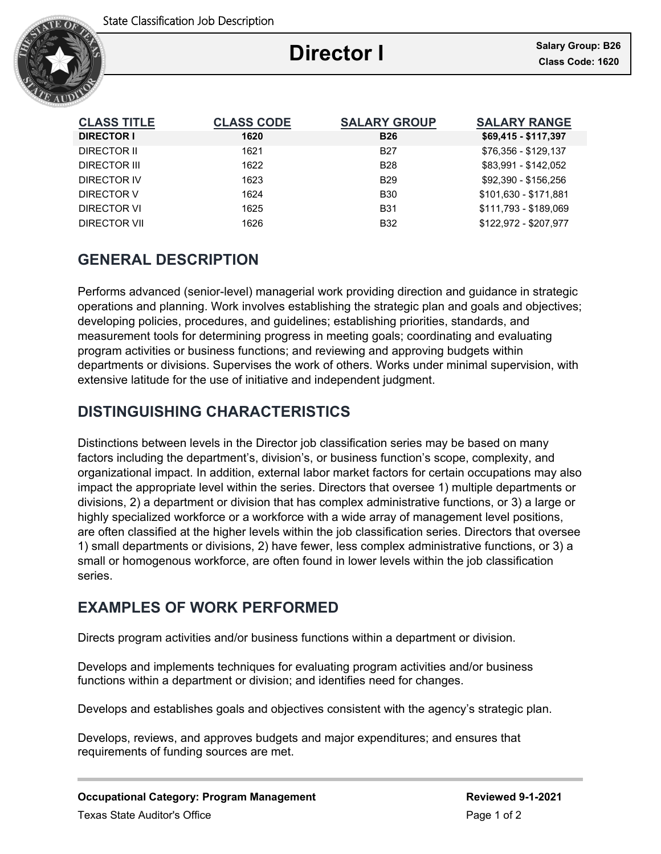

# **Director I**

Ξ

| <b>CLASS TITLE</b> | <b>CLASS CODE</b> | <b>SALARY GROUP</b> | <b>SALARY RANGE</b>   |
|--------------------|-------------------|---------------------|-----------------------|
| <b>DIRECTOR I</b>  | 1620              | <b>B26</b>          | \$69,415 - \$117,397  |
| DIRECTOR II        | 1621              | <b>B27</b>          | \$76,356 - \$129,137  |
| DIRECTOR III       | 1622              | <b>B28</b>          | \$83.991 - \$142.052  |
| DIRECTOR IV        | 1623              | <b>B29</b>          | \$92.390 - \$156.256  |
| DIRECTOR V         | 1624              | <b>B30</b>          | \$101.630 - \$171.881 |
| DIRECTOR VI        | 1625              | <b>B31</b>          | \$111.793 - \$189.069 |
| DIRECTOR VII       | 1626              | <b>B32</b>          | \$122.972 - \$207.977 |

# **GENERAL DESCRIPTION**

Performs advanced (senior-level) managerial work providing direction and guidance in strategic operations and planning. Work involves establishing the strategic plan and goals and objectives; developing policies, procedures, and guidelines; establishing priorities, standards, and measurement tools for determining progress in meeting goals; coordinating and evaluating program activities or business functions; and reviewing and approving budgets within departments or divisions. Supervises the work of others. Works under minimal supervision, with extensive latitude for the use of initiative and independent judgment.

# **DISTINGUISHING CHARACTERISTICS**

Distinctions between levels in the Director job classification series may be based on many factors including the department's, division's, or business function's scope, complexity, and organizational impact. In addition, external labor market factors for certain occupations may also impact the appropriate level within the series. Directors that oversee 1) multiple departments or divisions, 2) a department or division that has complex administrative functions, or 3) a large or highly specialized workforce or a workforce with a wide array of management level positions, are often classified at the higher levels within the job classification series. Directors that oversee 1) small departments or divisions, 2) have fewer, less complex administrative functions, or 3) a small or homogenous workforce, are often found in lower levels within the job classification series.

## **EXAMPLES OF WORK PERFORMED**

Directs program activities and/or business functions within a department or division.

Develops and implements techniques for evaluating program activities and/or business functions within a department or division; and identifies need for changes.

Develops and establishes goals and objectives consistent with the agency's strategic plan.

Develops, reviews, and approves budgets and major expenditures; and ensures that requirements of funding sources are met.